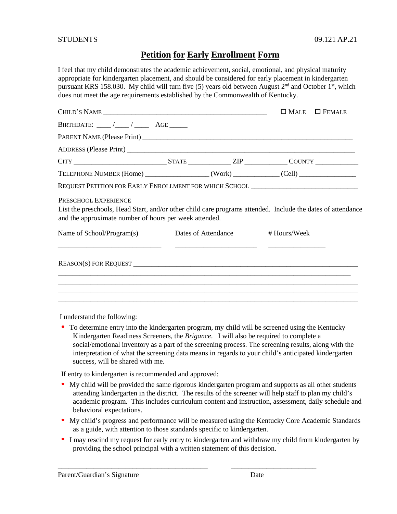## **Petition for Early Enrollment Form**

I feel that my child demonstrates the academic achievement, social, emotional, and physical maturity appropriate for kindergarten placement, and should be considered for early placement in kindergarten pursuant KRS 158.030. My child will turn five (5) years old between August  $2<sup>nd</sup>$  and October 1<sup>st</sup>, which does not meet the age requirements established by the Commonwealth of Kentucky.

|                                                                                                                                                                                               |                     |                                                                                                                      | $\square$ Male | $\Box$ FEMALE |
|-----------------------------------------------------------------------------------------------------------------------------------------------------------------------------------------------|---------------------|----------------------------------------------------------------------------------------------------------------------|----------------|---------------|
|                                                                                                                                                                                               |                     |                                                                                                                      |                |               |
|                                                                                                                                                                                               |                     |                                                                                                                      |                |               |
|                                                                                                                                                                                               |                     |                                                                                                                      |                |               |
|                                                                                                                                                                                               |                     |                                                                                                                      |                |               |
| TELEPHONE NUMBER (Home) ______________________(Work) _____________(Cell) ___________________________                                                                                          |                     |                                                                                                                      |                |               |
| REQUEST PETITION FOR EARLY ENROLLMENT FOR WHICH SCHOOL _________________________                                                                                                              |                     |                                                                                                                      |                |               |
| PRESCHOOL EXPERIENCE<br>List the preschools, Head Start, and/or other child care programs attended. Include the dates of attendance<br>and the approximate number of hours per week attended. |                     |                                                                                                                      |                |               |
| Name of School/Program(s)                                                                                                                                                                     | Dates of Attendance |                                                                                                                      | # Hours/Week   |               |
| <u> 1990 - Johann Barn, mars ann an t-Amhainn an t-Amhainn an t-Amhainn an t-Amhainn an t-Amhainn an t-Amhainn an </u>                                                                        |                     | <u> 1980 - Jan Barbara de Santo III de Antonio de la contrada de la contrada de la contrada de la contrada de la</u> |                |               |
|                                                                                                                                                                                               |                     |                                                                                                                      |                |               |

I understand the following:

To determine entry into the kindergarten program, my child will be screened using the Kentucky Kindergarten Readiness Screeners, the *Brigance*. I will also be required to complete a social/emotional inventory as a part of the screening process. The screening results, along with the interpretation of what the screening data means in regards to your child's anticipated kindergarten success, will be shared with me.

If entry to kindergarten is recommended and approved:

- My child will be provided the same rigorous kindergarten program and supports as all other students attending kindergarten in the district. The results of the screener will help staff to plan my child's academic program. This includes curriculum content and instruction, assessment, daily schedule and behavioral expectations.
- My child's progress and performance will be measured using the Kentucky Core Academic Standards as a guide, with attention to those standards specific to kindergarten.
- I may rescind my request for early entry to kindergarten and withdraw my child from kindergarten by providing the school principal with a written statement of this decision.

\_\_\_\_\_\_\_\_\_\_\_\_\_\_\_\_\_\_\_\_\_\_\_\_\_\_\_\_\_\_\_\_\_\_\_\_\_\_\_\_\_\_ \_\_\_\_\_\_\_\_\_\_\_\_\_\_\_\_\_\_\_\_\_\_\_\_